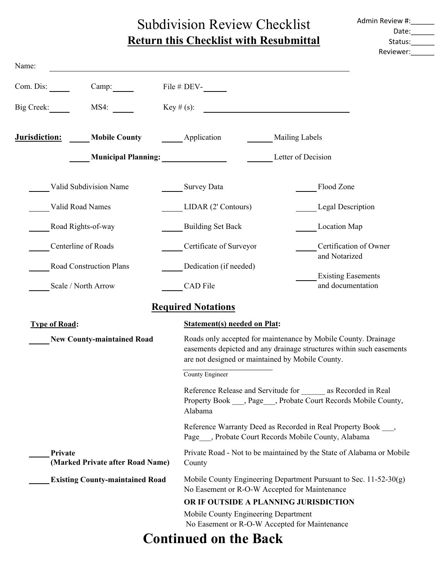# Subdivision Review Checklist **Return this Checklist with Resubmittal**

| Admin Review #: |  |
|-----------------|--|
| Date:           |  |
| Status:         |  |
| Reviewer:       |  |

| Name:                             |                                             |                                                                                                                           |                                                                                                                                                                                            |                                                                                                                              |  |
|-----------------------------------|---------------------------------------------|---------------------------------------------------------------------------------------------------------------------------|--------------------------------------------------------------------------------------------------------------------------------------------------------------------------------------------|------------------------------------------------------------------------------------------------------------------------------|--|
| Com. Dis:                         | Camp:                                       | File # DEV-                                                                                                               |                                                                                                                                                                                            |                                                                                                                              |  |
| Big Creek:                        | MS4:                                        | $Key \# (s):$                                                                                                             |                                                                                                                                                                                            |                                                                                                                              |  |
| <u>Jurisdiction:</u>              | <b>Mobile County</b>                        | Application                                                                                                               | <b>Mailing Labels</b>                                                                                                                                                                      |                                                                                                                              |  |
|                                   |                                             |                                                                                                                           |                                                                                                                                                                                            | Letter of Decision                                                                                                           |  |
|                                   | Valid Subdivision Name                      | Survey Data                                                                                                               |                                                                                                                                                                                            | Flood Zone                                                                                                                   |  |
|                                   | Valid Road Names                            | LIDAR (2' Contours)                                                                                                       |                                                                                                                                                                                            | <b>Legal Description</b>                                                                                                     |  |
|                                   | Road Rights-of-way                          | <b>Building Set Back</b>                                                                                                  |                                                                                                                                                                                            | Location Map                                                                                                                 |  |
|                                   | Centerline of Roads                         | Certificate of Surveyor                                                                                                   |                                                                                                                                                                                            | Certification of Owner<br>and Notarized                                                                                      |  |
|                                   | Road Construction Plans                     | Dedication (if needed)                                                                                                    |                                                                                                                                                                                            |                                                                                                                              |  |
|                                   | Scale / North Arrow                         | CAD File                                                                                                                  |                                                                                                                                                                                            | <b>Existing Easements</b><br>and documentation                                                                               |  |
|                                   |                                             | <b>Required Notations</b>                                                                                                 |                                                                                                                                                                                            |                                                                                                                              |  |
| <b>Type of Road:</b>              |                                             | <b>Statement(s) needed on Plat:</b>                                                                                       |                                                                                                                                                                                            |                                                                                                                              |  |
| <b>New County-maintained Road</b> |                                             |                                                                                                                           | Roads only accepted for maintenance by Mobile County. Drainage<br>easements depicted and any drainage structures within such easements<br>are not designed or maintained by Mobile County. |                                                                                                                              |  |
|                                   |                                             | County Engineer                                                                                                           |                                                                                                                                                                                            |                                                                                                                              |  |
|                                   |                                             | Alabama                                                                                                                   |                                                                                                                                                                                            | Reference Release and Servitude for as Recorded in Real<br>Property Book ___, Page ___, Probate Court Records Mobile County, |  |
|                                   |                                             | Reference Warranty Deed as Recorded in Real Property Book ____,<br>Page ___, Probate Court Records Mobile County, Alabama |                                                                                                                                                                                            |                                                                                                                              |  |
|                                   | Private<br>(Marked Private after Road Name) | County                                                                                                                    | Private Road - Not to be maintained by the State of Alabama or Mobile                                                                                                                      |                                                                                                                              |  |
|                                   | <b>Existing County-maintained Road</b>      |                                                                                                                           | Mobile County Engineering Department Pursuant to Sec. $11-52-30(g)$<br>No Easement or R-O-W Accepted for Maintenance                                                                       |                                                                                                                              |  |
|                                   |                                             |                                                                                                                           | OR IF OUTSIDE A PLANNING JURISDICTION                                                                                                                                                      |                                                                                                                              |  |
|                                   |                                             | Mobile County Engineering Department                                                                                      |                                                                                                                                                                                            |                                                                                                                              |  |
|                                   |                                             |                                                                                                                           | No Easement or R-O-W Accepted for Maintenance                                                                                                                                              |                                                                                                                              |  |
|                                   |                                             | <b>Continued on the Back</b>                                                                                              |                                                                                                                                                                                            |                                                                                                                              |  |